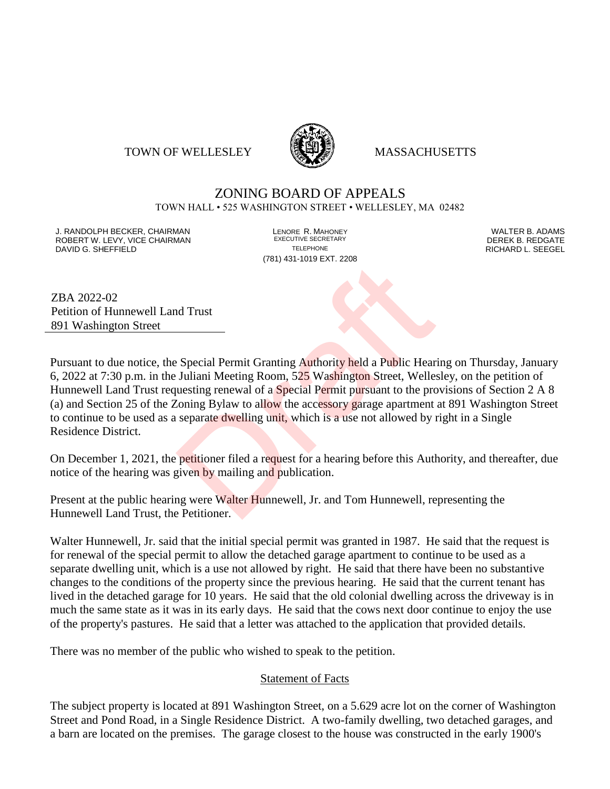### TOWN OF WELLESLEY **WELLESLEY** MASSACHUSETTS



# ZONING BOARD OF APPEALS

TOWN HALL • 525 WASHINGTON STREET • WELLESLEY, MA 02482

J. RANDOLPH BECKER, CHAIRMAN LENORE R. MAHONEY LENORE R. MAHONEY LENORE RESERVED BY AN MALTER B. ADAMS UNITER B<br>ROBERT W. LEVY. VICE CHAIRMAN LETTER AND RESERT ARE EXECUTIVE SECRETARY LETTER TO LETTER BY DEREK B. REDGATE ROBERT W. LEVY, VICE CHAIRMAN EXECUTIVE SECRETARY OF LEVEL CHAIRMAN DAVID G. SHEFFIELD TELEPHONE RICHARD L. SEEGEL

(781) 431-1019 EXT. 2208

ZBA 2022-02 Petition of Hunnewell Land Trust 891 Washington Street

Pursuant to due notice, the Special Permit Granting Authority held a Public Hearing on Thursday, January 6, 2022 at 7:30 p.m. in the Juliani Meeting Room, 525 Washington Street, Wellesley, on the petition of Hunnewell Land Trust requesting renewal of a Special Permit pursuant to the provisions of Section 2 A 8 (a) and Section 25 of the Zoning Bylaw to allow the accessory garage apartment at 891 Washington Street to continue to be used as a separate dwelling unit, which is a use not allowed by right in a Single Residence District. Manuster Collective Determined a Public Hear<br>
Dragonal Permit Granting Authority held a Public Hear<br>
Juliani Meeting Room, 525 Washington Street, Welles<br>
uesting renewal of a Special Permit pursuant to the pro-<br>
Loning Byl

On December 1, 2021, the petitioner filed a request for a hearing before this Authority, and thereafter, due notice of the hearing was given by mailing and publication.

Present at the public hearing were Walter Hunnewell, Jr. and Tom Hunnewell, representing the Hunnewell Land Trust, the Petitioner.

Walter Hunnewell, Jr. said that the initial special permit was granted in 1987. He said that the request is for renewal of the special permit to allow the detached garage apartment to continue to be used as a separate dwelling unit, which is a use not allowed by right. He said that there have been no substantive changes to the conditions of the property since the previous hearing. He said that the current tenant has lived in the detached garage for 10 years. He said that the old colonial dwelling across the driveway is in much the same state as it was in its early days. He said that the cows next door continue to enjoy the use of the property's pastures. He said that a letter was attached to the application that provided details.

There was no member of the public who wished to speak to the petition.

### Statement of Facts

The subject property is located at 891 Washington Street, on a 5.629 acre lot on the corner of Washington Street and Pond Road, in a Single Residence District. A two-family dwelling, two detached garages, and a barn are located on the premises. The garage closest to the house was constructed in the early 1900's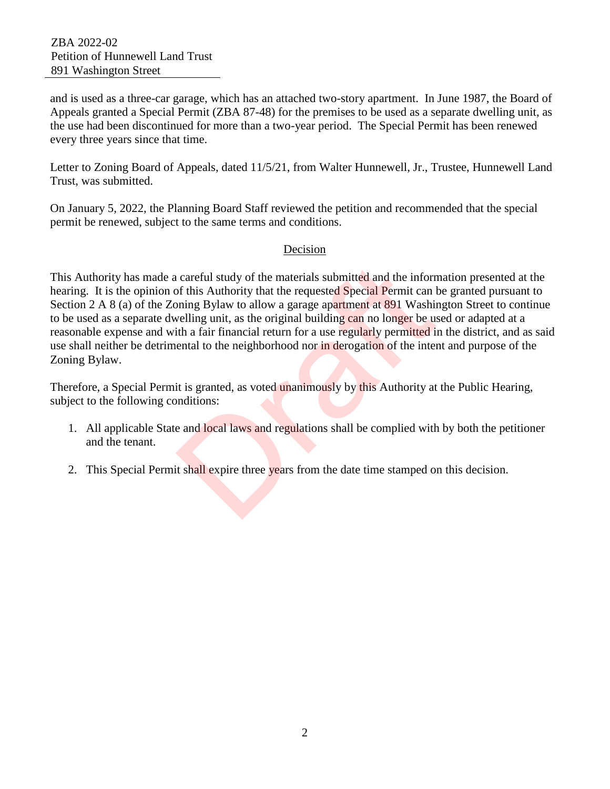and is used as a three-car garage, which has an attached two-story apartment. In June 1987, the Board of Appeals granted a Special Permit (ZBA 87-48) for the premises to be used as a separate dwelling unit, as the use had been discontinued for more than a two-year period. The Special Permit has been renewed every three years since that time.

Letter to Zoning Board of Appeals, dated 11/5/21, from Walter Hunnewell, Jr., Trustee, Hunnewell Land Trust, was submitted.

On January 5, 2022, the Planning Board Staff reviewed the petition and recommended that the special permit be renewed, subject to the same terms and conditions.

## Decision

This Authority has made a careful study of the materials submitted and the information presented at the hearing. It is the opinion of this Authority that the requested Special Permit can be granted pursuant to Section 2 A 8 (a) of the Zoning Bylaw to allow a garage apartment at 891 Washington Street to continue to be used as a separate dwelling unit, as the original building can no longer be used or adapted at a reasonable expense and with a fair financial return for a use regularly permitted in the district, and as said use shall neither be detrimental to the neighborhood nor in derogation of the intent and purpose of the Zoning Bylaw. is careful study of the materials submitted and the inform<br>of this Authority that the requested Special Permit can loning Bylaw to allow a garage apartment at 891 Washin<br>welling unit, as the original building can no longer

Therefore, a Special Permit is granted, as voted unanimously by this Authority at the Public Hearing, subject to the following conditions:

- 1. All applicable State and local laws and regulations shall be complied with by both the petitioner and the tenant.
- 2. This Special Permit shall expire three years from the date time stamped on this decision.